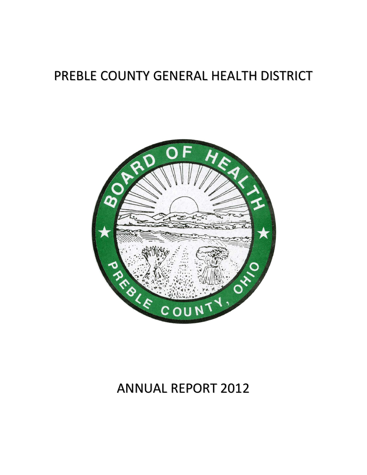# PREBLE COUNTY GENERAL HEALTH DISTRICT



# ANNUAL REPORT 2012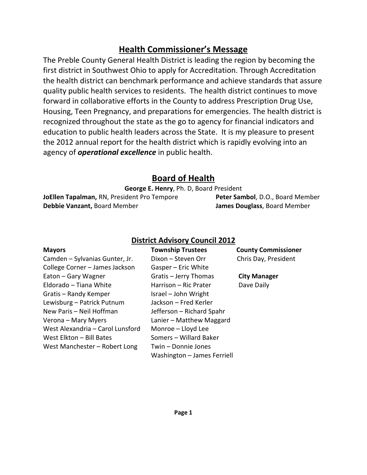# Health Commissioner's Message

The Preble County General Health District is leading the region by becoming the first district in Southwest Ohio to apply for Accreditation. Through Accreditation the health district can benchmark performance and achieve standards that assure quality public health services to residents. The health district continues to move forward in collaborative efforts in the County to address Prescription Drug Use, Housing, Teen Pregnancy, and preparations for emergencies. The health district is recognized throughout the state as the go to agency for financial indicators and education to public health leaders across the State. It is my pleasure to present the 2012 annual report for the health district which is rapidly evolving into an agency of **operational excellence** in public health.

# Board of Health

George E. Henry, Ph. D, Board President

JoEllen Tapalman, RN, President Pro Tempore Peter Sambol, D.O., Board Member Debbie Vanzant, Board Member **James Douglass**, Board Member

# District Advisory Council 2012

Camden – Sylvanias Gunter, Jr. Dixon – Steven Orr Chris Day, President College Corner – James Jackson Gasper – Eric White Eaton – Gary Wagner Gratis – Jerry Thomas City Manager Eldorado – Tiana White **Harrison – Ric Prater** Dave Daily Gratis – Randy Kemper Israel – John Wright Lewisburg – Patrick Putnum Jackson – Fred Kerler New Paris – Neil Hoffman Jefferson – Richard Spahr Verona – Mary Myers Lanier – Matthew Maggard West Alexandria – Carol Lunsford Monroe – Lloyd Lee West Elkton – Bill Bates Somers – Willard Baker West Manchester – Robert Long Twin – Donnie Jones

Washington – James Ferriell

Mayors Township Trustees County Commissioner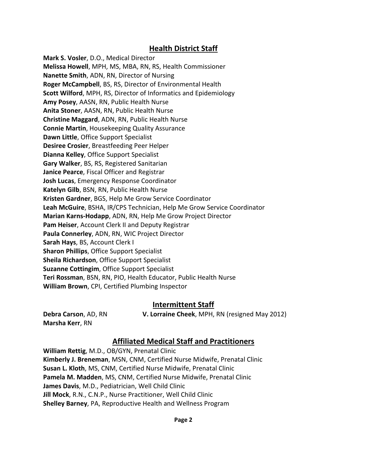#### Health District Staff

Mark S. Vosler, D.O., Medical Director Melissa Howell, MPH, MS, MBA, RN, RS, Health Commissioner Nanette Smith, ADN, RN, Director of Nursing Roger McCampbell, BS, RS, Director of Environmental Health Scott Wilford, MPH, RS, Director of Informatics and Epidemiology Amy Posey, AASN, RN, Public Health Nurse Anita Stoner, AASN, RN, Public Health Nurse Christine Maggard, ADN, RN, Public Health Nurse Connie Martin, Housekeeping Quality Assurance Dawn Little, Office Support Specialist Desiree Crosier, Breastfeeding Peer Helper Dianna Kelley, Office Support Specialist Gary Walker, BS, RS, Registered Sanitarian Janice Pearce, Fiscal Officer and Registrar Josh Lucas, Emergency Response Coordinator Katelyn Gilb, BSN, RN, Public Health Nurse Kristen Gardner, BGS, Help Me Grow Service Coordinator Leah McGuire, BSHA, IR/CPS Technician, Help Me Grow Service Coordinator Marian Karns-Hodapp, ADN, RN, Help Me Grow Project Director Pam Heiser, Account Clerk II and Deputy Registrar Paula Connerley, ADN, RN, WIC Project Director Sarah Hays, BS, Account Clerk I Sharon Phillips, Office Support Specialist Sheila Richardson, Office Support Specialist Suzanne Cottingim, Office Support Specialist Teri Rossman, BSN, RN, PIO, Health Educator, Public Health Nurse William Brown, CPI, Certified Plumbing Inspector

#### Intermittent Staff

Marsha Kerr, RN

Debra Carson, AD, RN V. Lorraine Cheek, MPH, RN (resigned May 2012)

# Affiliated Medical Staff and Practitioners

William Rettig, M.D., OB/GYN, Prenatal Clinic Kimberly J. Breneman, MSN, CNM, Certified Nurse Midwife, Prenatal Clinic Susan L. Kloth, MS, CNM, Certified Nurse Midwife, Prenatal Clinic Pamela M. Madden, MS, CNM, Certified Nurse Midwife, Prenatal Clinic James Davis, M.D., Pediatrician, Well Child Clinic Jill Mock, R.N., C.N.P., Nurse Practitioner, Well Child Clinic Shelley Barney, PA, Reproductive Health and Wellness Program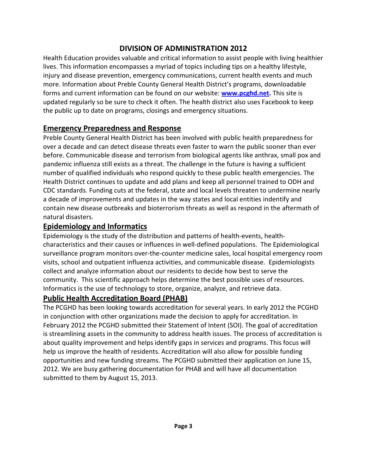# DIVISION OF ADMINISTRATION 2012

Health Education provides valuable and critical information to assist people with living healthier lives. This information encompasses a myriad of topics including tips on a healthy lifestyle, injury and disease prevention, emergency communications, current health events and much more. Information about Preble County General Health District's programs, downloadable forms and current information can be found on our website: www.pcghd.net. This site is updated regularly so be sure to check it often. The health district also uses Facebook to keep the public up to date on programs, closings and emergency situations.

# Emergency Preparedness and Response

Preble County General Health District has been involved with public health preparedness for over a decade and can detect disease threats even faster to warn the public sooner than ever before. Communicable disease and terrorism from biological agents like anthrax, small pox and pandemic influenza still exists as a threat. The challenge in the future is having a sufficient number of qualified individuals who respond quickly to these public health emergencies. The Health District continues to update and add plans and keep all personnel trained to ODH and CDC standards. Funding cuts at the federal, state and local levels threaten to undermine nearly a decade of improvements and updates in the way states and local entities indentify and contain new disease outbreaks and bioterrorism threats as well as respond in the aftermath of natural disasters.

# Epidemiology and Informatics

Epidemiology is the study of the distribution and patterns of health-events, healthcharacteristics and their causes or influences in well-defined populations. The Epidemiological surveillance program monitors over-the-counter medicine sales, local hospital emergency room visits, school and outpatient influenza activities, and communicable disease. Epidemiologists collect and analyze information about our residents to decide how best to serve the community. This scientific approach helps determine the best possible uses of resources. Informatics is the use of technology to store, organize, analyze, and retrieve data.

# Public Health Accreditation Board (PHAB)

The PCGHD has been looking towards accreditation for several years. In early 2012 the PCGHD in conjunction with other organizations made the decision to apply for accreditation. In February 2012 the PCGHD submitted their Statement of Intent (SOI). The goal of accreditation is streamlining assets in the community to address health issues. The process of accreditation is about quality improvement and helps identify gaps in services and programs. This focus will help us improve the health of residents. Accreditation will also allow for possible funding opportunities and new funding streams. The PCGHD submitted their application on June 15, 2012. We are busy gathering documentation for PHAB and will have all documentation submitted to them by August 15, 2013.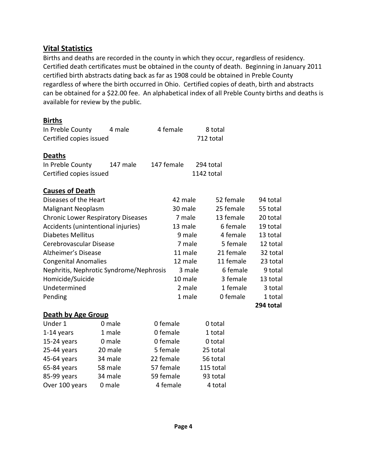# Vital Statistics

Births and deaths are recorded in the county in which they occur, regardless of residency. Certified death certificates must be obtained in the county of death. Beginning in January 2011 certified birth abstracts dating back as far as 1908 could be obtained in Preble County regardless of where the birth occurred in Ohio. Certified copies of death, birth and abstracts can be obtained for a \$22.00 fee. An alphabetical index of all Preble County births and deaths is available for review by the public.

| <b>Births</b>                             |          |            |         |            |           |           |
|-------------------------------------------|----------|------------|---------|------------|-----------|-----------|
| In Preble County                          | 4 male   | 4 female   |         |            | 8 total   |           |
| Certified copies issued                   |          |            |         | 712 total  |           |           |
| <b>Deaths</b>                             |          |            |         |            |           |           |
| In Preble County                          | 147 male | 147 female |         | 294 total  |           |           |
| Certified copies issued                   |          |            |         | 1142 total |           |           |
| <b>Causes of Death</b>                    |          |            |         |            |           |           |
| Diseases of the Heart                     |          |            | 42 male |            | 52 female | 94 total  |
| <b>Malignant Neoplasm</b>                 |          |            | 30 male |            | 25 female | 55 total  |
| <b>Chronic Lower Respiratory Diseases</b> |          |            | 7 male  |            | 13 female | 20 total  |
| Accidents (unintentional injuries)        |          |            | 13 male |            | 6 female  | 19 total  |
| Diabetes Mellitus                         |          |            | 9 male  |            | 4 female  | 13 total  |
| Cerebrovascular Disease                   |          |            | 7 male  |            | 5 female  | 12 total  |
| Alzheimer's Disease                       |          |            | 11 male |            | 21 female | 32 total  |
| <b>Congenital Anomalies</b>               |          |            | 12 male |            | 11 female | 23 total  |
| Nephritis, Nephrotic Syndrome/Nephrosis   |          |            | 3 male  |            | 6 female  | 9 total   |
| Homicide/Suicide                          |          |            | 10 male |            | 3 female  | 13 total  |
| Undetermined                              |          |            | 2 male  |            | 1 female  | 3 total   |
| Pending                                   |          |            | 1 male  |            | 0 female  | 1 total   |
|                                           |          |            |         |            |           | 294 total |
| Death by Age Group                        |          |            |         |            |           |           |
|                                           |          |            |         |            |           |           |

| 0 male  | 0 female  | 0 total   |
|---------|-----------|-----------|
| 1 male  | 0 female  | 1 total   |
| 0 male  | 0 female  | 0 total   |
| 20 male | 5 female  | 25 total  |
| 34 male | 22 female | 56 total  |
| 58 male | 57 female | 115 total |
| 34 male | 59 female | 93 total  |
| 0 male  | 4 female  | 4 total   |
|         |           |           |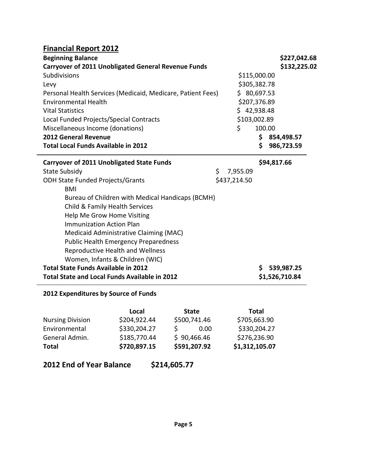# Financial Report 2012

| <b>Beginning Balance</b>                                    | \$227,042.68 |
|-------------------------------------------------------------|--------------|
| <b>Carryover of 2011 Unobligated General Revenue Funds</b>  | \$132,225.02 |
| Subdivisions                                                | \$115,000.00 |
| Levy                                                        | \$305,382.78 |
| Personal Health Services (Medicaid, Medicare, Patient Fees) | \$80,697.53  |
| <b>Environmental Health</b>                                 | \$207,376.89 |
| <b>Vital Statistics</b>                                     | \$42,938.48  |
| Local Funded Projects/Special Contracts                     | \$103,002.89 |
| Miscellaneous Income (donations)                            | 100.00       |
| <b>2012 General Revenue</b>                                 | 854,498.57   |
| <b>Total Local Funds Available in 2012</b>                  | 986,723.59   |

| <b>Carryover of 2011 Unobligated State Funds</b> |                | \$94,817.66    |
|--------------------------------------------------|----------------|----------------|
| <b>State Subsidy</b>                             | \$<br>7,955.09 |                |
| <b>ODH State Funded Projects/Grants</b>          | \$437,214.50   |                |
| BMI                                              |                |                |
| Bureau of Children with Medical Handicaps (BCMH) |                |                |
| Child & Family Health Services                   |                |                |
| Help Me Grow Home Visiting                       |                |                |
| <b>Immunization Action Plan</b>                  |                |                |
| Medicaid Administrative Claiming (MAC)           |                |                |
| <b>Public Health Emergency Preparedness</b>      |                |                |
| Reproductive Health and Wellness                 |                |                |
| Women, Infants & Children (WIC)                  |                |                |
| <b>Total State Funds Available in 2012</b>       |                | 539,987.25     |
| Total State and Local Funds Available in 2012    |                | \$1,526,710.84 |

#### 2012 Expenditures by Source of Funds

|                         | Local        | <b>State</b> | <b>Total</b>   |
|-------------------------|--------------|--------------|----------------|
| <b>Nursing Division</b> | \$204,922.44 | \$500,741.46 | \$705,663.90   |
| Environmental           | \$330,204.27 | 0.00         | \$330,204.27   |
| General Admin.          | \$185,770.44 | \$90,466.46  | \$276,236.90   |
| <b>Total</b>            | \$720,897.15 | \$591,207.92 | \$1,312,105.07 |

2012 End of Year Balance \$214,605.77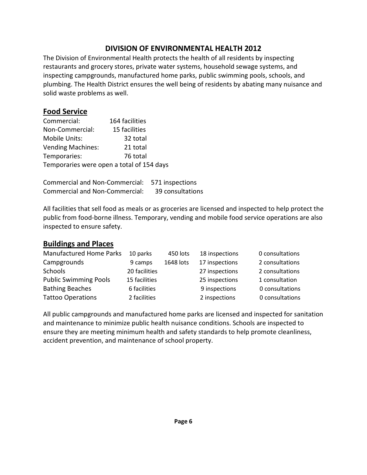# DIVISION OF ENVIRONMENTAL HEALTH 2012

The Division of Environmental Health protects the health of all residents by inspecting restaurants and grocery stores, private water systems, household sewage systems, and inspecting campgrounds, manufactured home parks, public swimming pools, schools, and plumbing. The Health District ensures the well being of residents by abating many nuisance and solid waste problems as well.

# Food Service

| Commercial:                               | 164 facilities |  |  |
|-------------------------------------------|----------------|--|--|
| Non-Commercial:                           | 15 facilities  |  |  |
| Mobile Units:                             | 32 total       |  |  |
| <b>Vending Machines:</b>                  | 21 total       |  |  |
| Temporaries:                              | 76 total       |  |  |
| Temporaries were open a total of 154 days |                |  |  |

| <b>Commercial and Non-Commercial:</b> | 571 inspections  |
|---------------------------------------|------------------|
| <b>Commercial and Non-Commercial:</b> | 39 consultations |

All facilities that sell food as meals or as groceries are licensed and inspected to help protect the public from food-borne illness. Temporary, vending and mobile food service operations are also inspected to ensure safety.

# Buildings and Places

| Manufactured Home Parks      | 10 parks      | 450 lots  | 18 inspections | 0 consultations |
|------------------------------|---------------|-----------|----------------|-----------------|
| Campgrounds                  | 9 camps       | 1648 lots | 17 inspections | 2 consultations |
| <b>Schools</b>               | 20 facilities |           | 27 inspections | 2 consultations |
| <b>Public Swimming Pools</b> | 15 facilities |           | 25 inspections | 1 consultation  |
| <b>Bathing Beaches</b>       | 6 facilities  |           | 9 inspections  | 0 consultations |
| <b>Tattoo Operations</b>     | 2 facilities  |           | 2 inspections  | 0 consultations |

All public campgrounds and manufactured home parks are licensed and inspected for sanitation and maintenance to minimize public health nuisance conditions. Schools are inspected to ensure they are meeting minimum health and safety standards to help promote cleanliness, accident prevention, and maintenance of school property.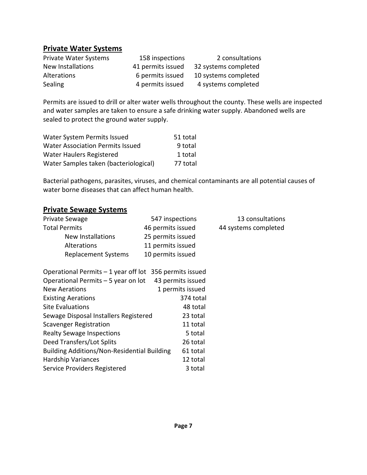# Private Water Systems

| <b>Private Water Systems</b> | 158 inspections   | 2 consultations      |
|------------------------------|-------------------|----------------------|
| New Installations            | 41 permits issued | 32 systems completed |
| Alterations                  | 6 permits issued  | 10 systems completed |
| Sealing                      | 4 permits issued  | 4 systems completed  |

Permits are issued to drill or alter water wells throughout the county. These wells are inspected and water samples are taken to ensure a safe drinking water supply. Abandoned wells are sealed to protect the ground water supply.

| Water System Permits Issued             | 51 total |
|-----------------------------------------|----------|
| <b>Water Association Permits Issued</b> | 9 total  |
| Water Haulers Registered                | 1 total  |
| Water Samples taken (bacteriological)   | 77 total |

Bacterial pathogens, parasites, viruses, and chemical contaminants are all potential causes of water borne diseases that can affect human health.

#### Private Sewage Systems

| Private Sewage                                           | 547 inspections   | 13 consultations     |
|----------------------------------------------------------|-------------------|----------------------|
| <b>Total Permits</b>                                     | 46 permits issued | 44 systems completed |
| <b>New Installations</b>                                 | 25 permits issued |                      |
| <b>Alterations</b>                                       | 11 permits issued |                      |
| <b>Replacement Systems</b>                               | 10 permits issued |                      |
|                                                          |                   |                      |
| Operational Permits $-1$ year off lot 356 permits issued |                   |                      |
| Operational Permits - 5 year on lot                      | 43 permits issued |                      |
| <b>New Aerations</b>                                     | 1 permits issued  |                      |
| <b>Existing Aerations</b>                                | 374 total         |                      |
| <b>Site Evaluations</b>                                  | 48 total          |                      |
| Sewage Disposal Installers Registered                    | 23 total          |                      |
| <b>Scavenger Registration</b>                            | 11 total          |                      |
| <b>Realty Sewage Inspections</b>                         | 5 total           |                      |
| Deed Transfers/Lot Splits                                | 26 total          |                      |
| <b>Building Additions/Non-Residential Building</b>       | 61 total          |                      |
| <b>Hardship Variances</b>                                | 12 total          |                      |
| Service Providers Registered                             | 3 total           |                      |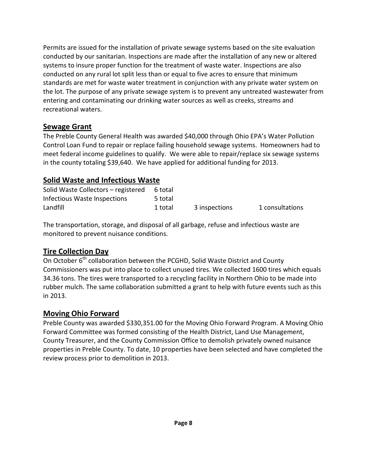Permits are issued for the installation of private sewage systems based on the site evaluation conducted by our sanitarian. Inspections are made after the installation of any new or altered systems to insure proper function for the treatment of waste water. Inspections are also conducted on any rural lot split less than or equal to five acres to ensure that minimum standards are met for waste water treatment in conjunction with any private water system on the lot. The purpose of any private sewage system is to prevent any untreated wastewater from entering and contaminating our drinking water sources as well as creeks, streams and recreational waters.

# Sewage Grant

The Preble County General Health was awarded \$40,000 through Ohio EPA's Water Pollution Control Loan Fund to repair or replace failing household sewage systems. Homeowners had to meet federal income guidelines to qualify. We were able to repair/replace six sewage systems in the county totaling \$39,640. We have applied for additional funding for 2013.

# Solid Waste and Infectious Waste

| Solid Waste Collectors - registered | 6 total |               |                 |
|-------------------------------------|---------|---------------|-----------------|
| Infectious Waste Inspections        | 5 total |               |                 |
| Landfill                            | 1 total | 3 inspections | 1 consultations |

The transportation, storage, and disposal of all garbage, refuse and infectious waste are monitored to prevent nuisance conditions.

# Tire Collection Day

On October 6<sup>th</sup> collaboration between the PCGHD, Solid Waste District and County Commissioners was put into place to collect unused tires. We collected 1600 tires which equals 34.36 tons. The tires were transported to a recycling facility in Northern Ohio to be made into rubber mulch. The same collaboration submitted a grant to help with future events such as this in 2013.

# Moving Ohio Forward

Preble County was awarded \$330,351.00 for the Moving Ohio Forward Program. A Moving Ohio Forward Committee was formed consisting of the Health District, Land Use Management, County Treasurer, and the County Commission Office to demolish privately owned nuisance properties in Preble County. To date, 10 properties have been selected and have completed the review process prior to demolition in 2013.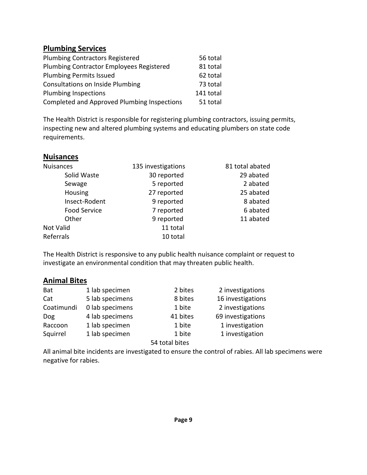#### Plumbing Services

| <b>Plumbing Contractors Registered</b>      | 56 total  |
|---------------------------------------------|-----------|
| Plumbing Contractor Employees Registered    | 81 total  |
| <b>Plumbing Permits Issued</b>              | 62 total  |
| <b>Consultations on Inside Plumbing</b>     | 73 total  |
| <b>Plumbing Inspections</b>                 | 141 total |
| Completed and Approved Plumbing Inspections | 51 total  |

The Health District is responsible for registering plumbing contractors, issuing permits, inspecting new and altered plumbing systems and educating plumbers on state code requirements.

#### **Nuisances**

| <b>Nuisances</b>    | 81 total abated<br>135 investigations |           |
|---------------------|---------------------------------------|-----------|
| Solid Waste         | 30 reported                           | 29 abated |
| Sewage              | 5 reported                            | 2 abated  |
| Housing             | 27 reported                           | 25 abated |
| Insect-Rodent       | 9 reported                            | 8 abated  |
| <b>Food Service</b> | 7 reported                            | 6 abated  |
| Other               | 9 reported                            | 11 abated |
| Not Valid           | 11 total                              |           |
| Referrals           | 10 total                              |           |

The Health District is responsive to any public health nuisance complaint or request to investigate an environmental condition that may threaten public health.

#### Animal Bites

| <b>Bat</b> | 1 lab specimen  | 2 bites        | 2 investigations  |
|------------|-----------------|----------------|-------------------|
| Cat        | 5 lab specimens | 8 bites        | 16 investigations |
| Coatimundi | 0 lab specimens | 1 bite         | 2 investigations  |
| Dog        | 4 lab specimens | 41 bites       | 69 investigations |
| Raccoon    | 1 lab specimen  | 1 bite         | 1 investigation   |
| Squirrel   | 1 lab specimen  | 1 bite         | 1 investigation   |
|            |                 | 54 total bites |                   |

All animal bite incidents are investigated to ensure the control of rabies. All lab specimens were negative for rabies.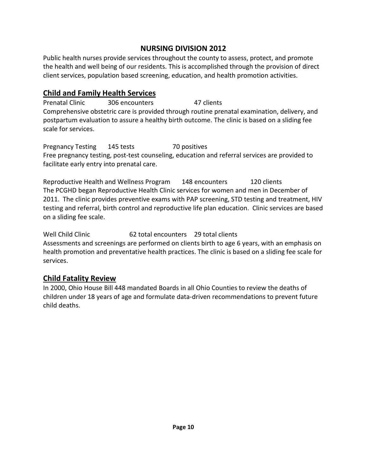# NURSING DIVISION 2012

Public health nurses provide services throughout the county to assess, protect, and promote the health and well being of our residents. This is accomplished through the provision of direct client services, population based screening, education, and health promotion activities.

# Child and Family Health Services

Prenatal Clinic 306 encounters 47 clients Comprehensive obstetric care is provided through routine prenatal examination, delivery, and postpartum evaluation to assure a healthy birth outcome. The clinic is based on a sliding fee scale for services.

Pregnancy Testing 145 tests 70 positives Free pregnancy testing, post-test counseling, education and referral services are provided to facilitate early entry into prenatal care.

Reproductive Health and Wellness Program 148 encounters 120 clients The PCGHD began Reproductive Health Clinic services for women and men in December of 2011. The clinic provides preventive exams with PAP screening, STD testing and treatment, HIV testing and referral, birth control and reproductive life plan education. Clinic services are based on a sliding fee scale.

Well Child Clinic **62** total encounters 29 total clients Assessments and screenings are performed on clients birth to age 6 years, with an emphasis on health promotion and preventative health practices. The clinic is based on a sliding fee scale for services.

# Child Fatality Review

In 2000, Ohio House Bill 448 mandated Boards in all Ohio Counties to review the deaths of children under 18 years of age and formulate data-driven recommendations to prevent future child deaths.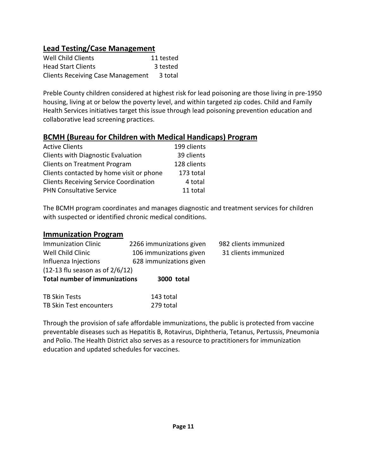# Lead Testing/Case Management

| Well Child Clients                       | 11 tested |
|------------------------------------------|-----------|
| <b>Head Start Clients</b>                | 3 tested  |
| <b>Clients Receiving Case Management</b> | 3 total   |

Preble County children considered at highest risk for lead poisoning are those living in pre-1950 housing, living at or below the poverty level, and within targeted zip codes. Child and Family Health Services initiatives target this issue through lead poisoning prevention education and collaborative lead screening practices.

#### BCMH (Bureau for Children with Medical Handicaps) Program

| <b>Active Clients</b>                         | 199 clients |
|-----------------------------------------------|-------------|
| <b>Clients with Diagnostic Evaluation</b>     | 39 clients  |
| <b>Clients on Treatment Program</b>           | 128 clients |
| Clients contacted by home visit or phone      | 173 total   |
| <b>Clients Receiving Service Coordination</b> | 4 total     |
| <b>PHN Consultative Service</b>               | 11 total    |

TB Skin Test encounters 279 total

education and updated schedules for vaccines.

The BCMH program coordinates and manages diagnostic and treatment services for children with suspected or identified chronic medical conditions.

#### Immunization Program

| <b>Immunization Clinic</b><br>Well Child Clinic<br>Influenza Injections     | 2266 immunizations given<br>106 immunizations given<br>628 immunizations given | 982 clients immunized<br>31 clients immunized |
|-----------------------------------------------------------------------------|--------------------------------------------------------------------------------|-----------------------------------------------|
| $(12-13)$ flu season as of $2/6/12$<br><b>Total number of immunizations</b> | 3000 total                                                                     |                                               |
| TB Skin Tests                                                               | 143 total                                                                      |                                               |

Through the provision of safe affordable immunizations, the public is protected from vaccine preventable diseases such as Hepatitis B, Rotavirus, Diphtheria, Tetanus, Pertussis, Pneumonia and Polio. The Health District also serves as a resource to practitioners for immunization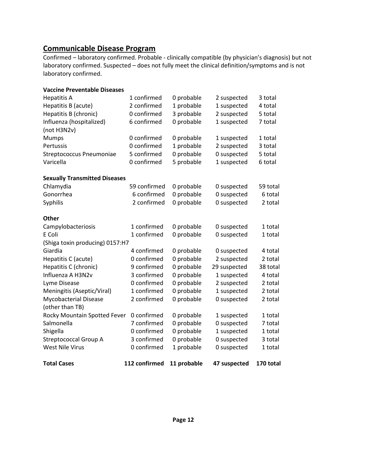#### Communicable Disease Program

Confirmed – laboratory confirmed. Probable - clinically compatible (by physician's diagnosis) but not laboratory confirmed. Suspected – does not fully meet the clinical definition/symptoms and is not laboratory confirmed.

| <b>Vaccine Preventable Diseases</b>  |               |             |              |           |
|--------------------------------------|---------------|-------------|--------------|-----------|
| <b>Hepatitis A</b>                   | 1 confirmed   | 0 probable  | 2 suspected  | 3 total   |
| Hepatitis B (acute)                  | 2 confirmed   | 1 probable  | 1 suspected  | 4 total   |
| Hepatitis B (chronic)                | 0 confirmed   | 3 probable  | 2 suspected  | 5 total   |
| Influenza (hospitalized)             | 6 confirmed   | 0 probable  | 1 suspected  | 7 total   |
| (not H3N2v)                          |               |             |              |           |
| <b>Mumps</b>                         | 0 confirmed   | 0 probable  | 1 suspected  | 1 total   |
| Pertussis                            | 0 confirmed   | 1 probable  | 2 suspected  | 3 total   |
| Streptococcus Pneumoniae             | 5 confirmed   | 0 probable  | 0 suspected  | 5 total   |
| Varicella                            | 0 confirmed   | 5 probable  | 1 suspected  | 6 total   |
| <b>Sexually Transmitted Diseases</b> |               |             |              |           |
| Chlamydia                            | 59 confirmed  | 0 probable  | 0 suspected  | 59 total  |
| Gonorrhea                            | 6 confirmed   | 0 probable  | 0 suspected  | 6 total   |
| Syphilis                             | 2 confirmed   | 0 probable  | 0 suspected  | 2 total   |
| <b>Other</b>                         |               |             |              |           |
| Campylobacteriosis                   | 1 confirmed   | 0 probable  | 0 suspected  | 1 total   |
| E Coli                               | 1 confirmed   | 0 probable  | 0 suspected  | 1 total   |
| (Shiga toxin producing) 0157:H7      |               |             |              |           |
| Giardia                              | 4 confirmed   | 0 probable  | 0 suspected  | 4 total   |
| Hepatitis C (acute)                  | 0 confirmed   | 0 probable  | 2 suspected  | 2 total   |
| Hepatitis C (chronic)                | 9 confirmed   | 0 probable  | 29 suspected | 38 total  |
| Influenza A H3N2v                    | 3 confirmed   | 0 probable  | 1 suspected  | 4 total   |
| Lyme Disease                         | 0 confirmed   | 0 probable  | 2 suspected  | 2 total   |
| Meningitis (Aseptic/Viral)           | 1 confirmed   | 0 probable  | 1 suspected  | 2 total   |
| Mycobacterial Disease                | 2 confirmed   | 0 probable  | 0 suspected  | 2 total   |
| (other than TB)                      |               |             |              |           |
| Rocky Mountain Spotted Fever         | 0 confirmed   | 0 probable  | 1 suspected  | 1 total   |
| Salmonella                           | 7 confirmed   | 0 probable  | 0 suspected  | 7 total   |
| Shigella                             | 0 confirmed   | 0 probable  | 1 suspected  | 1 total   |
| <b>Streptococcal Group A</b>         | 3 confirmed   | 0 probable  | 0 suspected  | 3 total   |
| <b>West Nile Virus</b>               | 0 confirmed   | 1 probable  | 0 suspected  | 1 total   |
| <b>Total Cases</b>                   | 112 confirmed | 11 probable | 47 suspected | 170 total |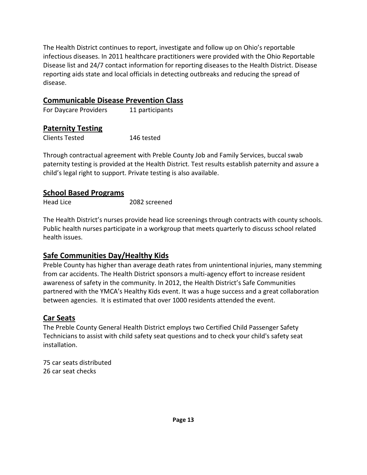The Health District continues to report, investigate and follow up on Ohio's reportable infectious diseases. In 2011 healthcare practitioners were provided with the Ohio Reportable Disease list and 24/7 contact information for reporting diseases to the Health District. Disease reporting aids state and local officials in detecting outbreaks and reducing the spread of disease.

# Communicable Disease Prevention Class

For Daycare Providers 11 participants

# Paternity Testing

Clients Tested 146 tested

Through contractual agreement with Preble County Job and Family Services, buccal swab paternity testing is provided at the Health District. Test results establish paternity and assure a child's legal right to support. Private testing is also available.

#### School Based Programs

| 2082 screened |
|---------------|
|               |

The Health District's nurses provide head lice screenings through contracts with county schools. Public health nurses participate in a workgroup that meets quarterly to discuss school related health issues.

# Safe Communities Day/Healthy Kids

Preble County has higher than average death rates from unintentional injuries, many stemming from car accidents. The Health District sponsors a multi-agency effort to increase resident awareness of safety in the community. In 2012, the Health District's Safe Communities partnered with the YMCA's Healthy Kids event. It was a huge success and a great collaboration between agencies. It is estimated that over 1000 residents attended the event.

# Car Seats

The Preble County General Health District employs two Certified Child Passenger Safety Technicians to assist with child safety seat questions and to check your child's safety seat installation.

75 car seats distributed 26 car seat checks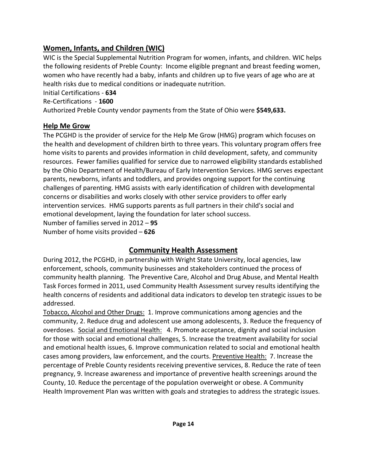# Women, Infants, and Children (WIC)

WIC is the Special Supplemental Nutrition Program for women, infants, and children. WIC helps the following residents of Preble County: Income eligible pregnant and breast feeding women, women who have recently had a baby, infants and children up to five years of age who are at health risks due to medical conditions or inadequate nutrition.

Initial Certifications - 634

Re-Certifications - 1600

Authorized Preble County vendor payments from the State of Ohio were \$549,633.

# Help Me Grow

The PCGHD is the provider of service for the Help Me Grow (HMG) program which focuses on the health and development of children birth to three years. This voluntary program offers free home visits to parents and provides information in child development, safety, and community resources. Fewer families qualified for service due to narrowed eligibility standards established by the Ohio Department of Health/Bureau of Early Intervention Services. HMG serves expectant parents, newborns, infants and toddlers, and provides ongoing support for the continuing challenges of parenting. HMG assists with early identification of children with developmental concerns or disabilities and works closely with other service providers to offer early intervention services. HMG supports parents as full partners in their child's social and emotional development, laying the foundation for later school success. Number of families served in 2012 – 95 Number of home visits provided – 626

# Community Health Assessment

During 2012, the PCGHD, in partnership with Wright State University, local agencies, law enforcement, schools, community businesses and stakeholders continued the process of community health planning. The Preventive Care, Alcohol and Drug Abuse, and Mental Health Task Forces formed in 2011, used Community Health Assessment survey results identifying the health concerns of residents and additional data indicators to develop ten strategic issues to be addressed.

Tobacco, Alcohol and Other Drugs: 1. Improve communications among agencies and the community, 2. Reduce drug and adolescent use among adolescents, 3. Reduce the frequency of overdoses. Social and Emotional Health: 4. Promote acceptance, dignity and social inclusion for those with social and emotional challenges, 5. Increase the treatment availability for social and emotional health issues, 6. Improve communication related to social and emotional health cases among providers, law enforcement, and the courts. Preventive Health: 7. Increase the percentage of Preble County residents receiving preventive services, 8. Reduce the rate of teen pregnancy, 9. Increase awareness and importance of preventive health screenings around the County, 10. Reduce the percentage of the population overweight or obese. A Community Health Improvement Plan was written with goals and strategies to address the strategic issues.